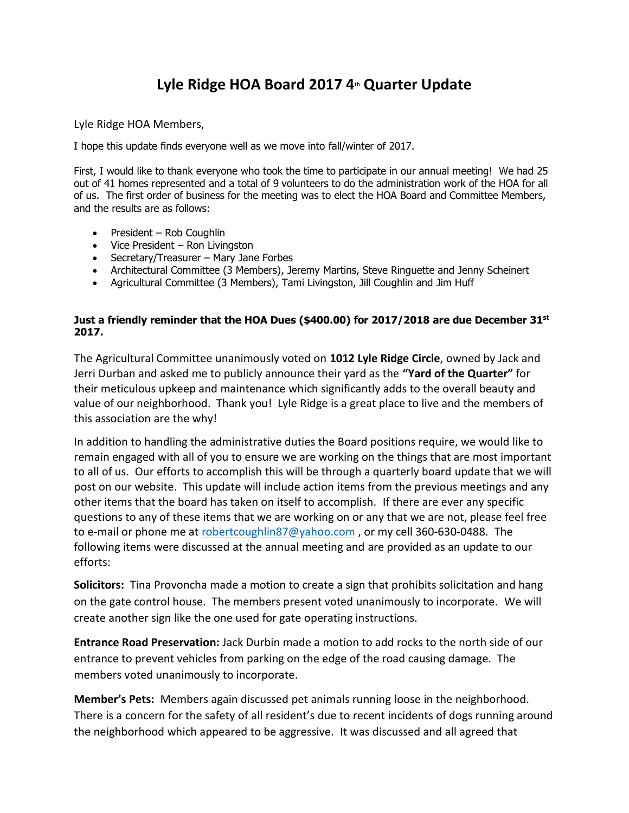## **Lyle Ridge HOA Board 2017 4th Quarter Update**

Lyle Ridge HOA Members,

I hope this update finds everyone well as we move into fall/winter of 2017.

First, I would like to thank everyone who took the time to participate in our annual meeting! We had 25 out of 41 homes represented and a total of 9 volunteers to do the administration work of the HOA for all of us. The first order of business for the meeting was to elect the HOA Board and Committee Members, and the results are as follows:

- President Rob Coughlin
- Vice President Ron Livingston
- Secretary/Treasurer Mary Jane Forbes
- Architectural Committee (3 Members), Jeremy Martins, Steve Ringuette and Jenny Scheinert
- Agricultural Committee (3 Members), Tami Livingston, Jill Coughlin and Jim Huff

## **Just a friendly reminder that the HOA Dues (\$400.00) for 2017/2018 are due December 31st 2017.**

The Agricultural Committee unanimously voted on **1012 Lyle Ridge Circle**, owned by Jack and Jerri Durban and asked me to publicly announce their yard as the **"Yard of the Quarter"** for their meticulous upkeep and maintenance which significantly adds to the overall beauty and value of our neighborhood. Thank you! Lyle Ridge is a great place to live and the members of this association are the why!

In addition to handling the administrative duties the Board positions require, we would like to remain engaged with all of you to ensure we are working on the things that are most important to all of us. Our efforts to accomplish this will be through a quarterly board update that we will post on our website. This update will include action items from the previous meetings and any other items that the board has taken on itself to accomplish. If there are ever any specific questions to any of these items that we are working on or any that we are not, please feel free to e-mail or phone me at [robertcoughlin87@yahoo.com](mailto:robertcoughlin87@yahoo.com), or my cell 360-630-0488. The following items were discussed at the annual meeting and are provided as an update to our efforts:

**Solicitors:** Tina Provoncha made a motion to create a sign that prohibits solicitation and hang on the gate control house. The members present voted unanimously to incorporate. We will create another sign like the one used for gate operating instructions.

**Entrance Road Preservation:** Jack Durbin made a motion to add rocks to the north side of our entrance to prevent vehicles from parking on the edge of the road causing damage. The members voted unanimously to incorporate.

**Member's Pets:** Members again discussed pet animals running loose in the neighborhood. There is a concern for the safety of all resident's due to recent incidents of dogs running around the neighborhood which appeared to be aggressive. It was discussed and all agreed that